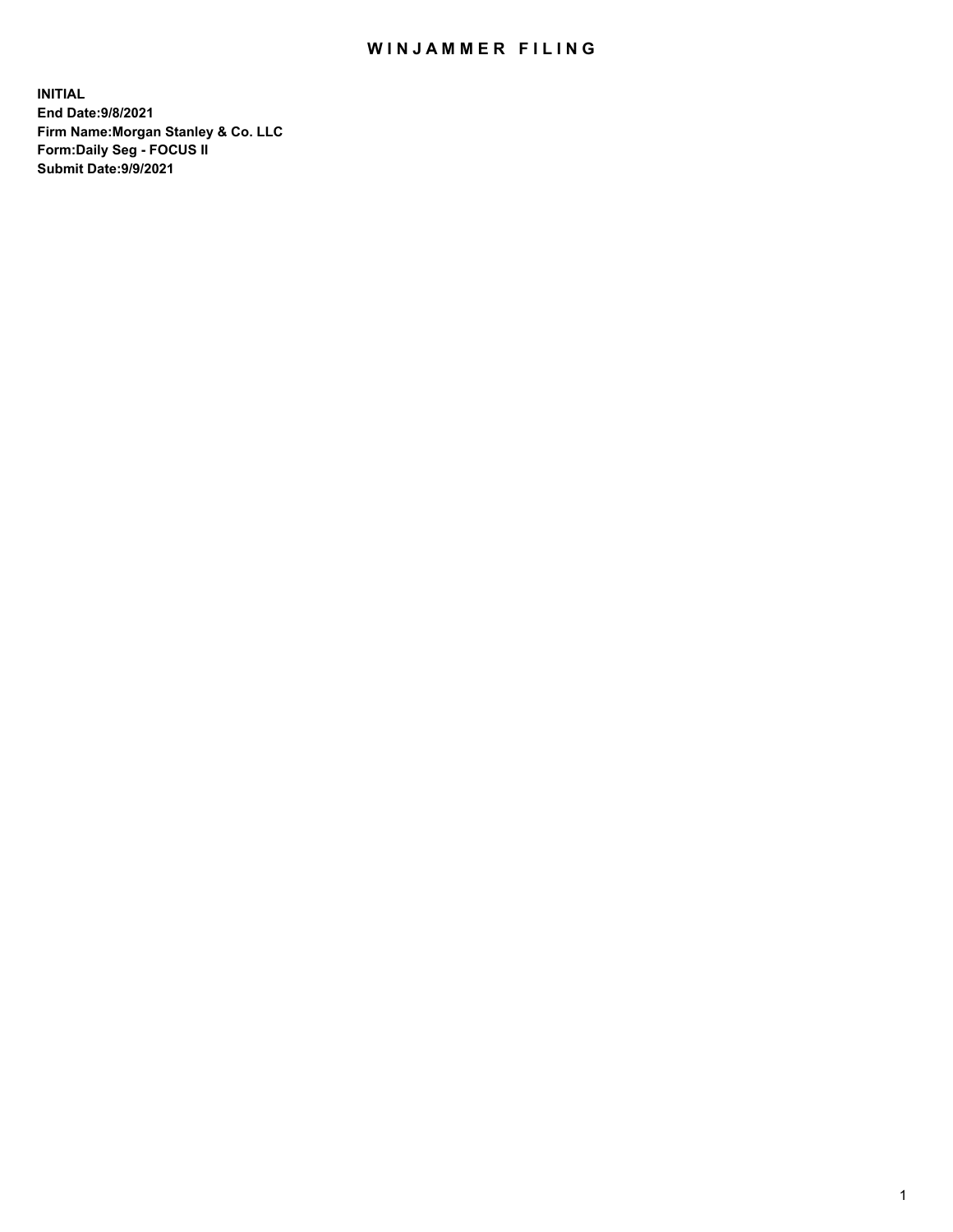## WIN JAMMER FILING

**INITIAL End Date:9/8/2021 Firm Name:Morgan Stanley & Co. LLC Form:Daily Seg - FOCUS II Submit Date:9/9/2021**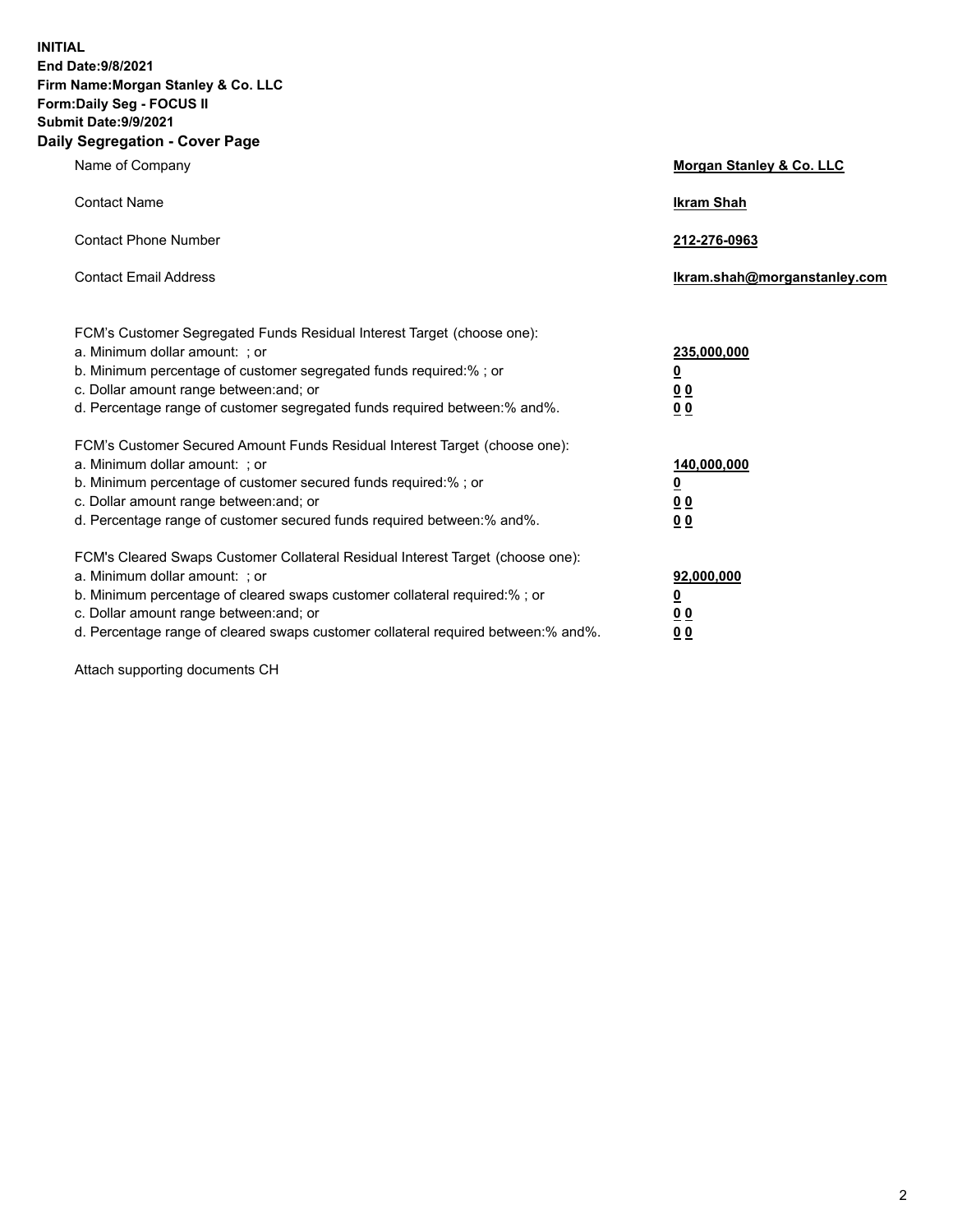**INITIAL End Date:9/8/2021 Firm Name:Morgan Stanley & Co. LLC Form:Daily Seg - FOCUS II Submit Date:9/9/2021 Daily Segregation - Cover Page**

| Name of Company                                                                                                                                                                                                                                                                                                               | Morgan Stanley & Co. LLC                                       |
|-------------------------------------------------------------------------------------------------------------------------------------------------------------------------------------------------------------------------------------------------------------------------------------------------------------------------------|----------------------------------------------------------------|
| <b>Contact Name</b>                                                                                                                                                                                                                                                                                                           | <b>Ikram Shah</b>                                              |
| <b>Contact Phone Number</b>                                                                                                                                                                                                                                                                                                   | 212-276-0963                                                   |
| <b>Contact Email Address</b>                                                                                                                                                                                                                                                                                                  | Ikram.shah@morganstanley.com                                   |
| FCM's Customer Segregated Funds Residual Interest Target (choose one):<br>a. Minimum dollar amount: ; or<br>b. Minimum percentage of customer segregated funds required:% ; or<br>c. Dollar amount range between: and; or<br>d. Percentage range of customer segregated funds required between:% and%.                        | 235,000,000<br><u>0</u><br><u>0 0</u><br>0 Q                   |
| FCM's Customer Secured Amount Funds Residual Interest Target (choose one):<br>a. Minimum dollar amount: ; or<br>b. Minimum percentage of customer secured funds required:%; or<br>c. Dollar amount range between: and; or<br>d. Percentage range of customer secured funds required between: % and %.                         | 140,000,000<br><u>0</u><br><u>00</u><br>0 <sup>0</sup>         |
| FCM's Cleared Swaps Customer Collateral Residual Interest Target (choose one):<br>a. Minimum dollar amount: ; or<br>b. Minimum percentage of cleared swaps customer collateral required:%; or<br>c. Dollar amount range between: and; or<br>d. Percentage range of cleared swaps customer collateral required between:% and%. | 92,000,000<br>$\overline{\mathbf{0}}$<br>0 Q<br>0 <sub>0</sub> |

Attach supporting documents CH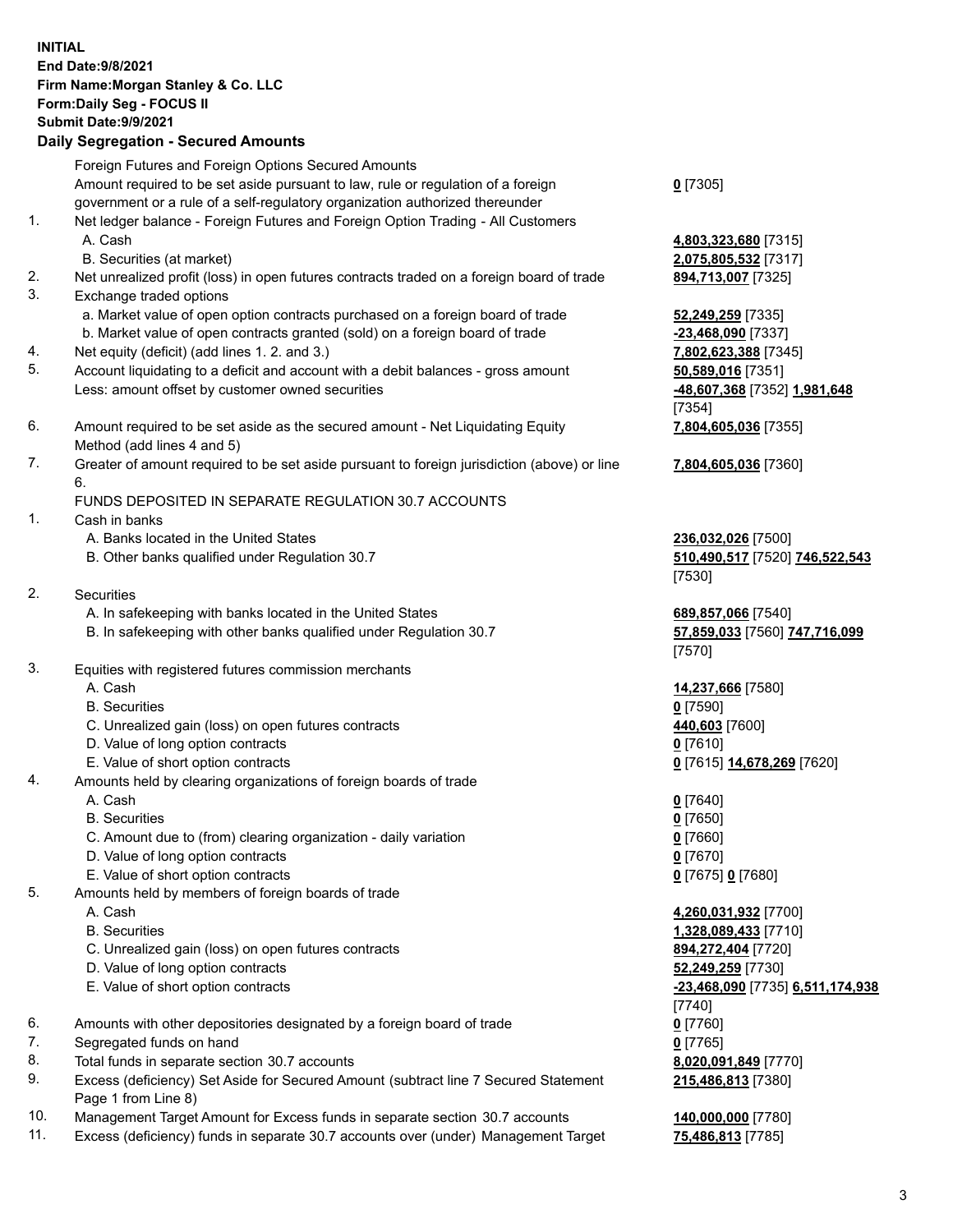## **INITIAL End Date:9/8/2021 Firm Name:Morgan Stanley & Co. LLC Form:Daily Seg - FOCUS II Submit Date:9/9/2021 Daily Segregation - Secured Amounts** Foreign Futures and Foreign Options Secured Amounts Amount required to be set aside pursuant to law, rule or regulation of a foreign government or a rule of a self-regulatory organization authorized thereunder 1. Net ledger balance - Foreign Futures and Foreign Option Trading - All Customers A. Cash **4,803,323,680** [7315] B. Securities (at market) **2,075,805,532** [7317] 2. Net unrealized profit (loss) in open futures contracts traded on a foreign board of trade **894,713,007** [7325] 3. Exchange traded options a. Market value of open option contracts purchased on a foreign board of trade **52,249,259** [7335] b. Market value of open contracts granted (sold) on a foreign board of trade **-23,468,090** [7337] 4. Net equity (deficit) (add lines 1. 2. and 3.) **7,802,623,388** [7345] 5. Account liquidating to a deficit and account with a debit balances - gross amount **50,589,016** [7351] Less: amount offset by customer owned securities **-48,607,368** [7352] **1,981,648** 6. Amount required to be set aside as the secured amount - Net Liquidating Equity Method (add lines 4 and 5) 7. Greater of amount required to be set aside pursuant to foreign jurisdiction (above) or line 6. FUNDS DEPOSITED IN SEPARATE REGULATION 30.7 ACCOUNTS 1. Cash in banks A. Banks located in the United States **236,032,026** [7500] B. Other banks qualified under Regulation 30.7 **510,490,517** [7520] **746,522,543** 2. Securities A. In safekeeping with banks located in the United States **689,857,066** [7540] B. In safekeeping with other banks qualified under Regulation 30.7 **57,859,033** [7560] **747,716,099** 3. Equities with registered futures commission merchants A. Cash **14,237,666** [7580] B. Securities **0** [7590] C. Unrealized gain (loss) on open futures contracts **440,603** [7600] D. Value of long option contracts **0** [7610] E. Value of short option contracts **0** [7615] **14,678,269** [7620] 4. Amounts held by clearing organizations of foreign boards of trade A. Cash **0** [7640] B. Securities **0** [7650] C. Amount due to (from) clearing organization - daily variation **0** [7660] D. Value of long option contracts **0** [7670] E. Value of short option contracts **0** [7675] **0** [7680] 5. Amounts held by members of foreign boards of trade A. Cash **4,260,031,932** [7700] B. Securities **1,328,089,433** [7710] C. Unrealized gain (loss) on open futures contracts **894,272,404** [7720]

- D. Value of long option contracts **52,249,259** [7730]
	- E. Value of short option contracts **-23,468,090** [7735] **6,511,174,938**
- 6. Amounts with other depositories designated by a foreign board of trade **0** [7760]
- 7. Segregated funds on hand **0** [7765]
- 8. Total funds in separate section 30.7 accounts **8,020,091,849** [7770]
- 9. Excess (deficiency) Set Aside for Secured Amount (subtract line 7 Secured Statement Page 1 from Line 8)
- 10. Management Target Amount for Excess funds in separate section 30.7 accounts **140,000,000** [7780]
- 11. Excess (deficiency) funds in separate 30.7 accounts over (under) Management Target **75,486,813** [7785]

**0** [7305]

[7354] **7,804,605,036** [7355]

**7,804,605,036** [7360]

[7530]

[7570]

[7740] **215,486,813** [7380]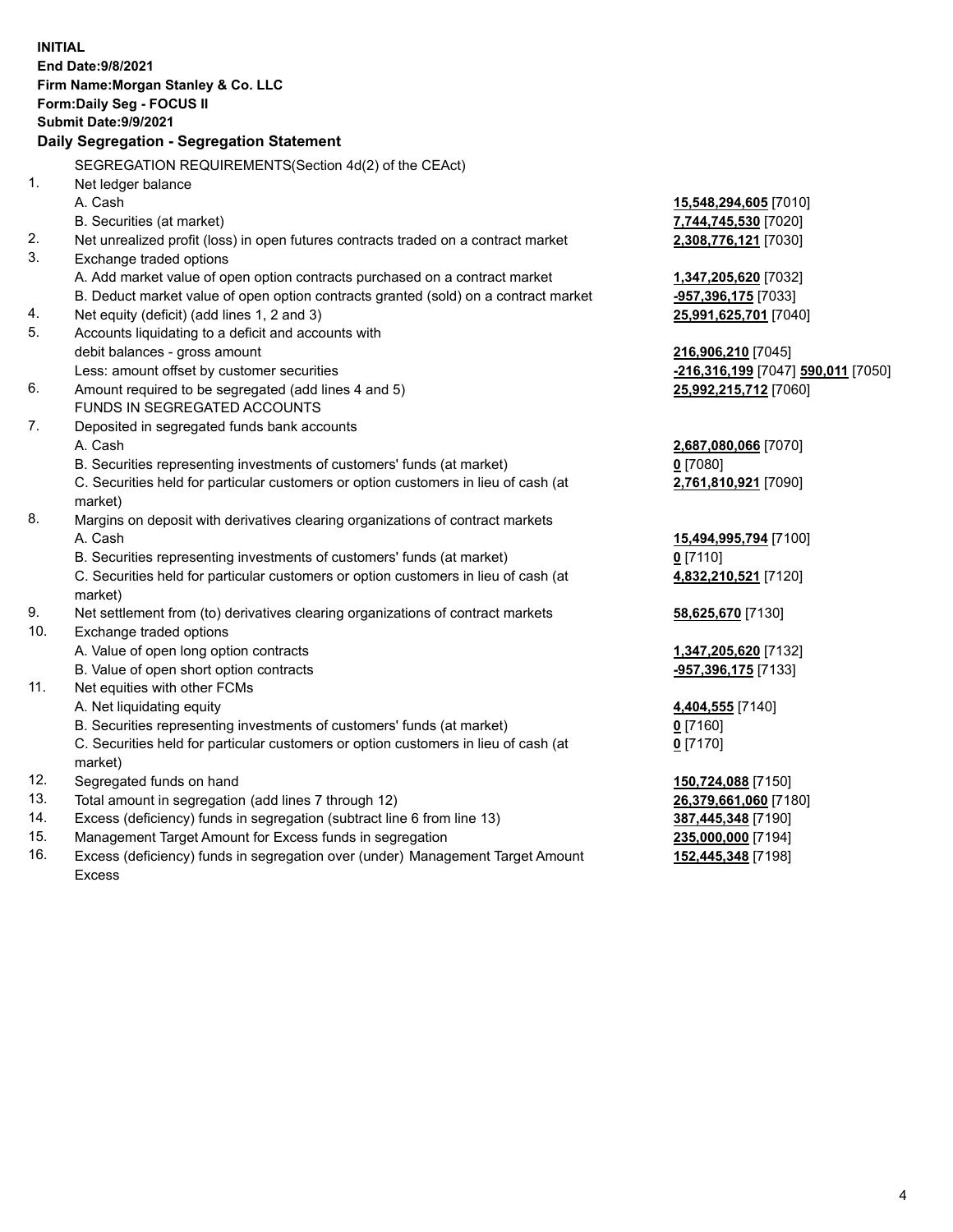|     | <b>INITIAL</b>                                                                                             |                                             |
|-----|------------------------------------------------------------------------------------------------------------|---------------------------------------------|
|     | End Date: 9/8/2021                                                                                         |                                             |
|     | Firm Name: Morgan Stanley & Co. LLC                                                                        |                                             |
|     | Form: Daily Seg - FOCUS II                                                                                 |                                             |
|     | Submit Date: 9/9/2021                                                                                      |                                             |
|     | Daily Segregation - Segregation Statement                                                                  |                                             |
|     | SEGREGATION REQUIREMENTS(Section 4d(2) of the CEAct)                                                       |                                             |
| 1.  | Net ledger balance                                                                                         |                                             |
|     | A. Cash                                                                                                    | 15,548,294,605 [7010]                       |
|     | B. Securities (at market)                                                                                  | 7,744,745,530 [7020]                        |
| 2.  | Net unrealized profit (loss) in open futures contracts traded on a contract market                         | 2,308,776,121 [7030]                        |
| 3.  | Exchange traded options                                                                                    |                                             |
|     | A. Add market value of open option contracts purchased on a contract market                                | 1,347,205,620 [7032]                        |
|     | B. Deduct market value of open option contracts granted (sold) on a contract market                        | -957,396,175 [7033]                         |
| 4.  | Net equity (deficit) (add lines 1, 2 and 3)                                                                | 25,991,625,701 [7040]                       |
| 5.  | Accounts liquidating to a deficit and accounts with                                                        |                                             |
|     | debit balances - gross amount                                                                              | 216,906,210 [7045]                          |
|     | Less: amount offset by customer securities                                                                 | -216,316,199 [7047] 590,011 [7050]          |
| 6.  | Amount required to be segregated (add lines 4 and 5)                                                       | 25,992,215,712 [7060]                       |
|     | FUNDS IN SEGREGATED ACCOUNTS                                                                               |                                             |
| 7.  | Deposited in segregated funds bank accounts                                                                |                                             |
|     | A. Cash                                                                                                    | 2,687,080,066 [7070]                        |
|     | B. Securities representing investments of customers' funds (at market)                                     | $0$ [7080]                                  |
|     | C. Securities held for particular customers or option customers in lieu of cash (at                        | 2,761,810,921 [7090]                        |
|     | market)                                                                                                    |                                             |
| 8.  | Margins on deposit with derivatives clearing organizations of contract markets                             |                                             |
|     | A. Cash                                                                                                    | 15,494,995,794 [7100]                       |
|     | B. Securities representing investments of customers' funds (at market)                                     | $0$ [7110]                                  |
|     | C. Securities held for particular customers or option customers in lieu of cash (at                        | 4,832,210,521 [7120]                        |
| 9.  | market)                                                                                                    |                                             |
| 10. | Net settlement from (to) derivatives clearing organizations of contract markets<br>Exchange traded options | 58,625,670 [7130]                           |
|     | A. Value of open long option contracts                                                                     |                                             |
|     | B. Value of open short option contracts                                                                    | 1,347,205,620 [7132]<br>-957,396,175 [7133] |
| 11. | Net equities with other FCMs                                                                               |                                             |
|     | A. Net liquidating equity                                                                                  | 4,404,555 [7140]                            |
|     | B. Securities representing investments of customers' funds (at market)                                     | $0$ [7160]                                  |
|     | C. Securities held for particular customers or option customers in lieu of cash (at                        | $0$ [7170]                                  |
|     | market)                                                                                                    |                                             |
| 12. | Segregated funds on hand                                                                                   | 150,724,088 [7150]                          |
| 13. | Total amount in segregation (add lines 7 through 12)                                                       | 26,379,661,060 [7180]                       |
| 14. | Excess (deficiency) funds in segregation (subtract line 6 from line 13)                                    | 387,445,348 [7190]                          |
| 15. | Management Target Amount for Excess funds in segregation                                                   | 235,000,000 [7194]                          |
| 16. | Excess (deficiency) funds in segregation over (under) Management Target Amount                             | 152,445,348 [7198]                          |

Excess